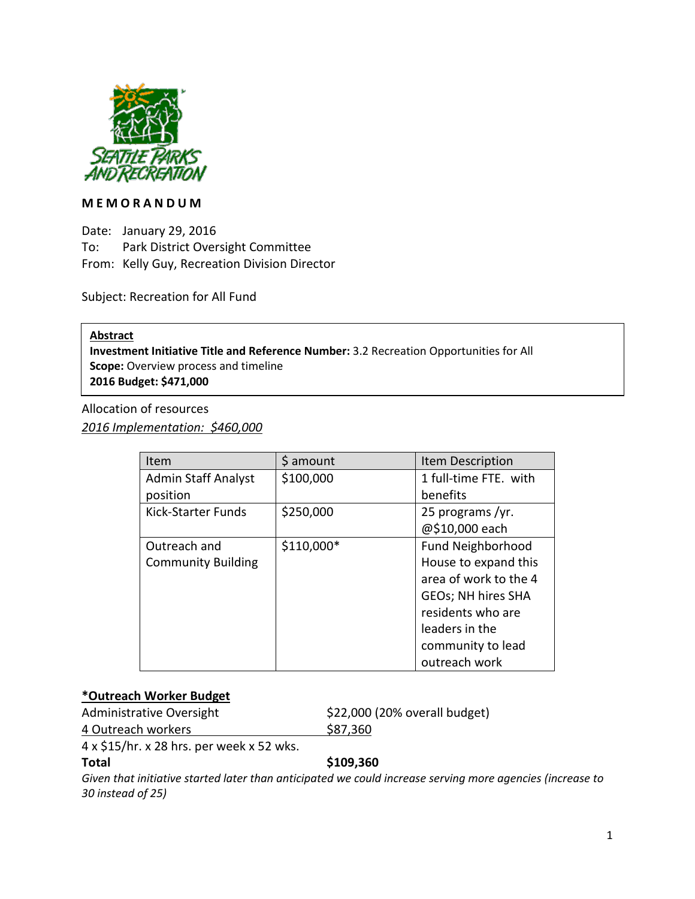

#### **MEMORANDUM**

Date: January 29, 2016 To: Park District Oversight Committee From: Kelly Guy, Recreation Division Director

Subject: Recreation for All Fund

**Abstract** 

**Investment Initiative Title and Reference Number:** 3.2 Recreation Opportunities for All **Scope:** Overview process and timeline **2016 Budget: \$471,000**

Allocation of resources *2016 Implementation: \$460,000*

| Item                       | \$ amount   | Item Description      |
|----------------------------|-------------|-----------------------|
| <b>Admin Staff Analyst</b> | \$100,000   | 1 full-time FTE. with |
| position                   |             | benefits              |
| Kick-Starter Funds         | \$250,000   | 25 programs/yr.       |
|                            |             | @\$10,000 each        |
| Outreach and               | $$110,000*$ | Fund Neighborhood     |
| <b>Community Building</b>  |             | House to expand this  |
|                            |             | area of work to the 4 |
|                            |             | GEOs; NH hires SHA    |
|                            |             | residents who are     |
|                            |             | leaders in the        |
|                            |             | community to lead     |
|                            |             | outreach work         |

# **\*Outreach Worker Budget**

Administrative Oversight \$22,000 (20% overall budget)

4 Outreach workers \$87,360

4 x \$15/hr. x 28 hrs. per week x 52 wks.

# **Total \$109,360**

*Given that initiative started later than anticipated we could increase serving more agencies (increase to 30 instead of 25)*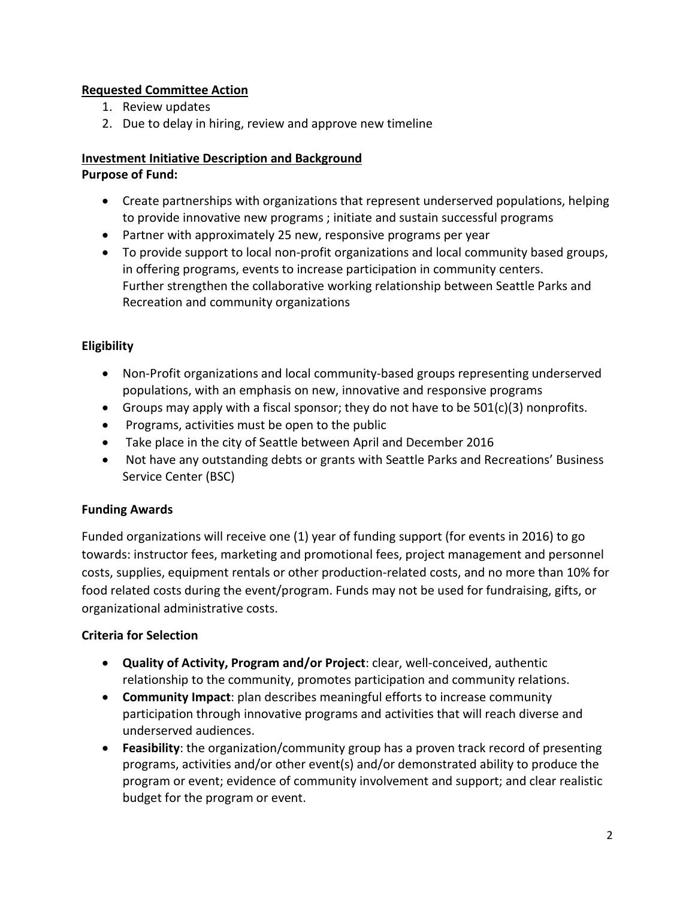# **Requested Committee Action**

- 1. Review updates
- 2. Due to delay in hiring, review and approve new timeline

# **Investment Initiative Description and Background**

# **Purpose of Fund:**

- Create partnerships with organizations that represent underserved populations, helping to provide innovative new programs ; initiate and sustain successful programs
- Partner with approximately 25 new, responsive programs per year
- To provide support to local non-profit organizations and local community based groups, in offering programs, events to increase participation in community centers. Further strengthen the collaborative working relationship between Seattle Parks and Recreation and community organizations

# **Eligibility**

- Non-Profit organizations and local community-based groups representing underserved populations, with an emphasis on new, innovative and responsive programs
- Groups may apply with a fiscal sponsor; they do not have to be  $501(c)(3)$  nonprofits.
- Programs, activities must be open to the public
- Take place in the city of Seattle between April and December 2016
- Not have any outstanding debts or grants with Seattle Parks and Recreations' Business Service Center (BSC)

# **Funding Awards**

Funded organizations will receive one (1) year of funding support (for events in 2016) to go towards: instructor fees, marketing and promotional fees, project management and personnel costs, supplies, equipment rentals or other production-related costs, and no more than 10% for food related costs during the event/program. Funds may not be used for fundraising, gifts, or organizational administrative costs.

# **Criteria for Selection**

- **Quality of Activity, Program and/or Project**: clear, well-conceived, authentic relationship to the community, promotes participation and community relations.
- **Community Impact**: plan describes meaningful efforts to increase community participation through innovative programs and activities that will reach diverse and underserved audiences.
- **Feasibility**: the organization/community group has a proven track record of presenting programs, activities and/or other event(s) and/or demonstrated ability to produce the program or event; evidence of community involvement and support; and clear realistic budget for the program or event.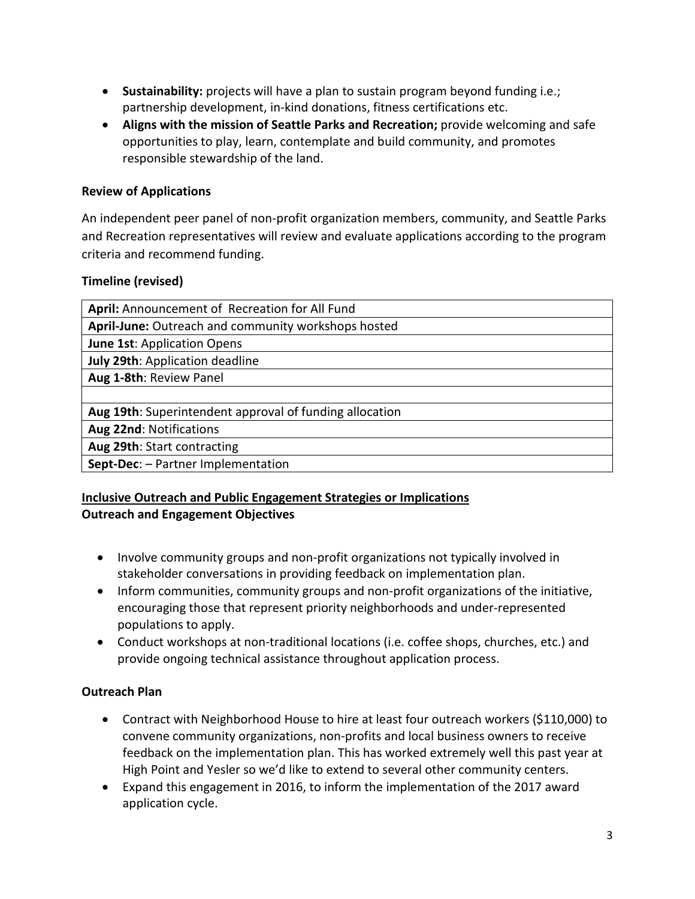- **Sustainability:** projects will have a plan to sustain program beyond funding i.e.; partnership development, in-kind donations, fitness certifications etc.
- **Aligns with the mission of Seattle Parks and Recreation;** provide welcoming and safe opportunities to play, learn, contemplate and build community, and promotes responsible stewardship of the land.

# **Review of Applications**

An independent peer panel of non-profit organization members, community, and Seattle Parks and Recreation representatives will review and evaluate applications according to the program criteria and recommend funding.

#### **Timeline (revised)**

| April: Announcement of Recreation for All Fund          |  |  |
|---------------------------------------------------------|--|--|
| April-June: Outreach and community workshops hosted     |  |  |
| June 1st: Application Opens                             |  |  |
| July 29th: Application deadline                         |  |  |
| Aug 1-8th: Review Panel                                 |  |  |
|                                                         |  |  |
| Aug 19th: Superintendent approval of funding allocation |  |  |
| Aug 22nd: Notifications                                 |  |  |
| Aug 29th: Start contracting                             |  |  |
| Sept-Dec: - Partner Implementation                      |  |  |

# **Inclusive Outreach and Public Engagement Strategies or Implications Outreach and Engagement Objectives**

- Involve community groups and non-profit organizations not typically involved in stakeholder conversations in providing feedback on implementation plan.
- Inform communities, community groups and non-profit organizations of the initiative, encouraging those that represent priority neighborhoods and under-represented populations to apply.
- Conduct workshops at non-traditional locations (i.e. coffee shops, churches, etc.) and provide ongoing technical assistance throughout application process.

# **Outreach Plan**

- Contract with Neighborhood House to hire at least four outreach workers (\$110,000) to convene community organizations, non-profits and local business owners to receive feedback on the implementation plan. This has worked extremely well this past year at High Point and Yesler so we'd like to extend to several other community centers.
- Expand this engagement in 2016, to inform the implementation of the 2017 award application cycle.